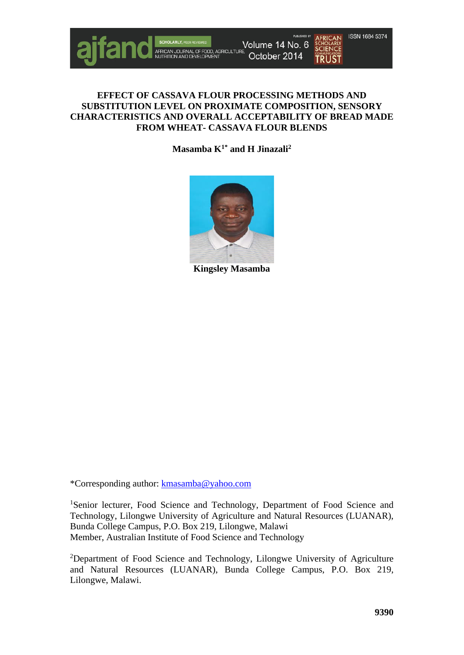

# **EFFECT OF CASSAVA FLOUR PROCESSING METHODS AND SUBSTITUTION LEVEL ON PROXIMATE COMPOSITION, SENSORY CHARACTERISTICS AND OVERALL ACCEPTABILITY OF BREAD MADE FROM WHEAT- CASSAVA FLOUR BLENDS**

**Masamba K1\* and H Jinazali2**



**Kingsley Masamba**

\*Corresponding author: [kmasamba@yahoo.com](mailto:kmasamba@yahoo.com)

<sup>1</sup>Senior lecturer, Food Science and Technology, Department of Food Science and Technology, Lilongwe University of Agriculture and Natural Resources (LUANAR), Bunda College Campus, P.O. Box 219, Lilongwe, Malawi Member, Australian Institute of Food Science and Technology

<sup>2</sup>Department of Food Science and Technology, Lilongwe University of Agriculture and Natural Resources (LUANAR), Bunda College Campus, P.O. Box 219, Lilongwe, Malawi.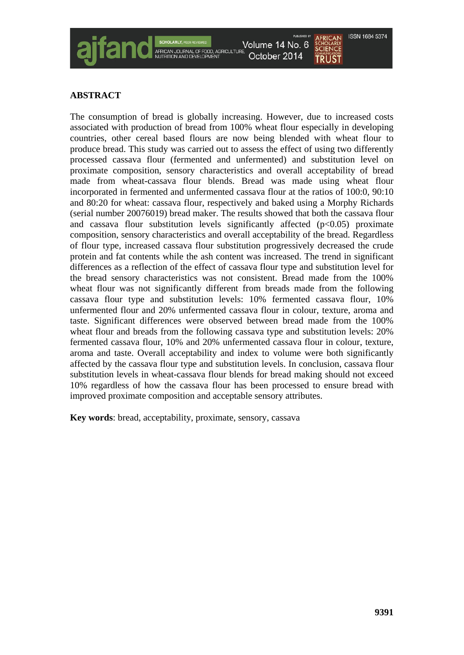# **ABSTRACT**

The consumption of bread is globally increasing. However, due to increased costs associated with production of bread from 100% wheat flour especially in developing countries, other cereal based flours are now being blended with wheat flour to produce bread. This study was carried out to assess the effect of using two differently processed cassava flour (fermented and unfermented) and substitution level on proximate composition, sensory characteristics and overall acceptability of bread made from wheat-cassava flour blends. Bread was made using wheat flour incorporated in fermented and unfermented cassava flour at the ratios of 100:0, 90:10 and 80:20 for wheat: cassava flour, respectively and baked using a Morphy Richards (serial number 20076019) bread maker. The results showed that both the cassava flour and cassava flour substitution levels significantly affected  $(p<0.05)$  proximate composition, sensory characteristics and overall acceptability of the bread. Regardless of flour type, increased cassava flour substitution progressively decreased the crude protein and fat contents while the ash content was increased. The trend in significant differences as a reflection of the effect of cassava flour type and substitution level for the bread sensory characteristics was not consistent. Bread made from the 100% wheat flour was not significantly different from breads made from the following cassava flour type and substitution levels: 10% fermented cassava flour, 10% unfermented flour and 20% unfermented cassava flour in colour, texture, aroma and taste. Significant differences were observed between bread made from the 100% wheat flour and breads from the following cassava type and substitution levels: 20% fermented cassava flour, 10% and 20% unfermented cassava flour in colour, texture, aroma and taste. Overall acceptability and index to volume were both significantly affected by the cassava flour type and substitution levels. In conclusion, cassava flour substitution levels in wheat-cassava flour blends for bread making should not exceed 10% regardless of how the cassava flour has been processed to ensure bread with improved proximate composition and acceptable sensory attributes.

Volume 14 No. 6 October 2014

**Key words**: bread, acceptability, proximate, sensory, cassava

**ISSN 1684 5374** 

**TRUST**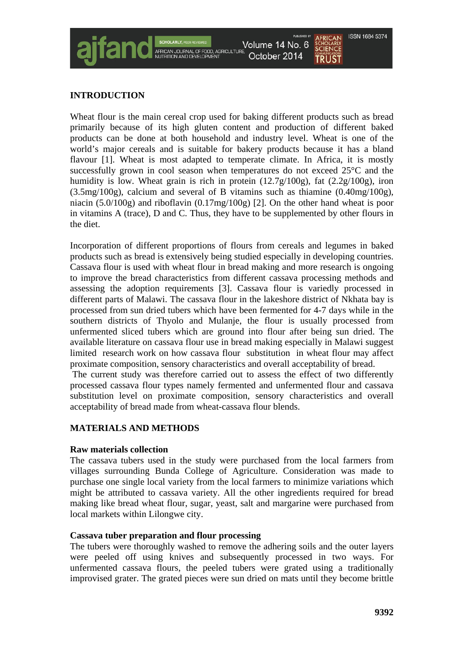# **INTRODUCTION**

Wheat flour is the main cereal crop used for baking different products such as bread primarily because of its high gluten content and production of different baked products can be done at both household and industry level. Wheat is one of the world's major cereals and is suitable for bakery products because it has a bland flavour [1]. Wheat is most adapted to temperate climate. In Africa, it is mostly successfully grown in cool season when temperatures do not exceed 25°C and the humidity is low. Wheat grain is rich in protein (12.7g/100g), fat (2.2g/100g), iron (3.5mg/100g), calcium and several of B vitamins such as thiamine (0.40mg/100g), niacin (5.0/100g) and riboflavin (0.17mg/100g) [2]. On the other hand wheat is poor in vitamins A (trace), D and C. Thus, they have to be supplemented by other flours in the diet.

Volume 14 No. 6 October 2014

Incorporation of different proportions of flours from cereals and legumes in baked products such as bread is extensively being studied especially in developing countries. Cassava flour is used with wheat flour in bread making and more research is ongoing to improve the bread characteristics from different cassava processing methods and assessing the adoption requirements [3]. Cassava flour is variedly processed in different parts of Malawi. The cassava flour in the lakeshore district of Nkhata bay is processed from sun dried tubers which have been fermented for 4-7 days while in the southern districts of Thyolo and Mulanje, the flour is usually processed from unfermented sliced tubers which are ground into flour after being sun dried. The available literature on cassava flour use in bread making especially in Malawi suggest limited research work on how cassava flour substitution in wheat flour may affect proximate composition, sensory characteristics and overall acceptability of bread.

The current study was therefore carried out to assess the effect of two differently processed cassava flour types namely fermented and unfermented flour and cassava substitution level on proximate composition, sensory characteristics and overall acceptability of bread made from wheat-cassava flour blends.

# **MATERIALS AND METHODS**

# **Raw materials collection**

The cassava tubers used in the study were purchased from the local farmers from villages surrounding Bunda College of Agriculture. Consideration was made to purchase one single local variety from the local farmers to minimize variations which might be attributed to cassava variety. All the other ingredients required for bread making like bread wheat flour, sugar, yeast, salt and margarine were purchased from local markets within Lilongwe city.

# **Cassava tuber preparation and flour processing**

The tubers were thoroughly washed to remove the adhering soils and the outer layers were peeled off using knives and subsequently processed in two ways. For unfermented cassava flours, the peeled tubers were grated using a traditionally improvised grater. The grated pieces were sun dried on mats until they become brittle

**ISSN 1684 5374** 

**TRUST**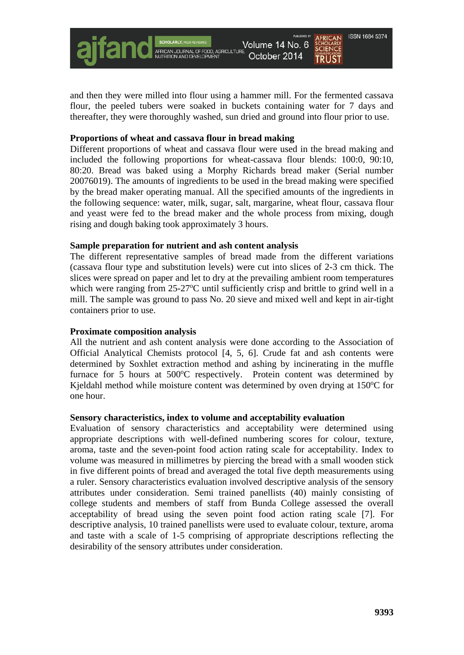Volume 14 No. 6 October 2014

**ISSN 1684 5374** 

and then they were milled into flour using a hammer mill. For the fermented cassava flour, the peeled tubers were soaked in buckets containing water for 7 days and thereafter, they were thoroughly washed, sun dried and ground into flour prior to use.

# **Proportions of wheat and cassava flour in bread making**

Different proportions of wheat and cassava flour were used in the bread making and included the following proportions for wheat-cassava flour blends: 100:0, 90:10, 80:20. Bread was baked using a Morphy Richards bread maker (Serial number 20076019). The amounts of ingredients to be used in the bread making were specified by the bread maker operating manual. All the specified amounts of the ingredients in the following sequence: water, milk, sugar, salt, margarine, wheat flour, cassava flour and yeast were fed to the bread maker and the whole process from mixing, dough rising and dough baking took approximately 3 hours.

# **Sample preparation for nutrient and ash content analysis**

The different representative samples of bread made from the different variations (cassava flour type and substitution levels) were cut into slices of 2-3 cm thick. The slices were spread on paper and let to dry at the prevailing ambient room temperatures which were ranging from 25-27°C until sufficiently crisp and brittle to grind well in a mill. The sample was ground to pass No. 20 sieve and mixed well and kept in air-tight containers prior to use.

# **Proximate composition analysis**

All the nutrient and ash content analysis were done according to the Association of Official Analytical Chemists protocol [4, 5, 6]. Crude fat and ash contents were determined by Soxhlet extraction method and ashing by incinerating in the muffle furnace for 5 hours at 500°C respectively. Protein content was determined by Kjeldahl method while moisture content was determined by oven drying at 150°C for one hour.

# **Sensory characteristics, index to volume and acceptability evaluation**

Evaluation of sensory characteristics and acceptability were determined using appropriate descriptions with well-defined numbering scores for colour, texture, aroma, taste and the seven-point food action rating scale for acceptability. Index to volume was measured in millimetres by piercing the bread with a small wooden stick in five different points of bread and averaged the total five depth measurements using a ruler. Sensory characteristics evaluation involved descriptive analysis of the sensory attributes under consideration. Semi trained panellists (40) mainly consisting of college students and members of staff from Bunda College assessed the overall acceptability of bread using the seven point food action rating scale [7]. For descriptive analysis, 10 trained panellists were used to evaluate colour, texture, aroma and taste with a scale of 1-5 comprising of appropriate descriptions reflecting the desirability of the sensory attributes under consideration.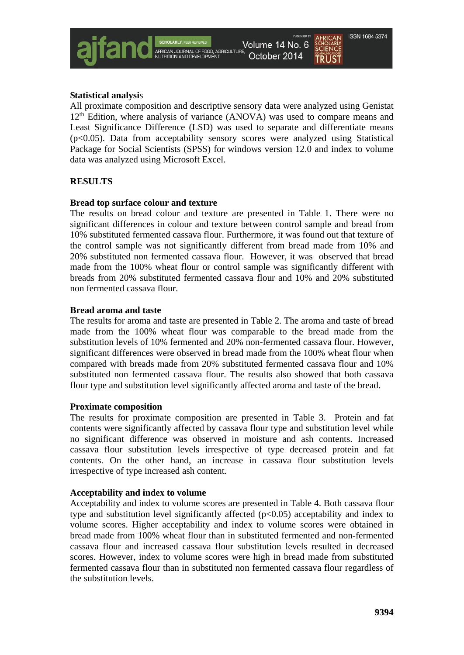**ISSN 1684 5374** 

All proximate composition and descriptive sensory data were analyzed using Genistat  $12<sup>th</sup>$  Edition, where analysis of variance (ANOVA) was used to compare means and Least Significance Difference (LSD) was used to separate and differentiate means (p<0.05). Data from acceptability sensory scores were analyzed using Statistical Package for Social Scientists (SPSS) for windows version 12.0 and index to volume data was analyzed using Microsoft Excel.

# **RESULTS**

### **Bread top surface colour and texture**

The results on bread colour and texture are presented in Table 1. There were no significant differences in colour and texture between control sample and bread from 10% substituted fermented cassava flour. Furthermore, it was found out that texture of the control sample was not significantly different from bread made from 10% and 20% substituted non fermented cassava flour. However, it was observed that bread made from the 100% wheat flour or control sample was significantly different with breads from 20% substituted fermented cassava flour and 10% and 20% substituted non fermented cassava flour.

### **Bread aroma and taste**

The results for aroma and taste are presented in Table 2. The aroma and taste of bread made from the 100% wheat flour was comparable to the bread made from the substitution levels of 10% fermented and 20% non-fermented cassava flour. However, significant differences were observed in bread made from the 100% wheat flour when compared with breads made from 20% substituted fermented cassava flour and 10% substituted non fermented cassava flour. The results also showed that both cassava flour type and substitution level significantly affected aroma and taste of the bread.

#### **Proximate composition**

The results for proximate composition are presented in Table 3. Protein and fat contents were significantly affected by cassava flour type and substitution level while no significant difference was observed in moisture and ash contents. Increased cassava flour substitution levels irrespective of type decreased protein and fat contents. On the other hand, an increase in cassava flour substitution levels irrespective of type increased ash content.

#### **Acceptability and index to volume**

Acceptability and index to volume scores are presented in Table 4. Both cassava flour type and substitution level significantly affected  $(p<0.05)$  acceptability and index to volume scores. Higher acceptability and index to volume scores were obtained in bread made from 100% wheat flour than in substituted fermented and non-fermented cassava flour and increased cassava flour substitution levels resulted in decreased scores. However, index to volume scores were high in bread made from substituted fermented cassava flour than in substituted non fermented cassava flour regardless of the substitution levels.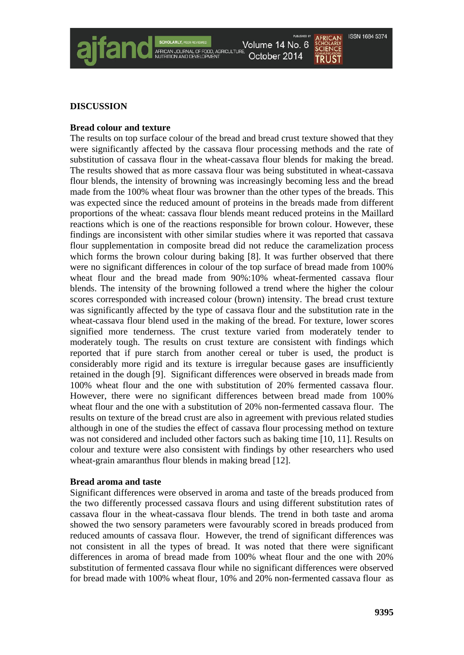Volume 14 No. 6 October 2014

# **ISSN 1684 5374**

**TRUST** 

# **DISCUSSION**

# **Bread colour and texture**

The results on top surface colour of the bread and bread crust texture showed that they were significantly affected by the cassava flour processing methods and the rate of substitution of cassava flour in the wheat-cassava flour blends for making the bread. The results showed that as more cassava flour was being substituted in wheat-cassava flour blends, the intensity of browning was increasingly becoming less and the bread made from the 100% wheat flour was browner than the other types of the breads. This was expected since the reduced amount of proteins in the breads made from different proportions of the wheat: cassava flour blends meant reduced proteins in the Maillard reactions which is one of the reactions responsible for brown colour. However, these findings are inconsistent with other similar studies where it was reported that cassava flour supplementation in composite bread did not reduce the caramelization process which forms the brown colour during baking [8]. It was further observed that there were no significant differences in colour of the top surface of bread made from 100% wheat flour and the bread made from 90%:10% wheat-fermented cassava flour blends. The intensity of the browning followed a trend where the higher the colour scores corresponded with increased colour (brown) intensity. The bread crust texture was significantly affected by the type of cassava flour and the substitution rate in the wheat-cassava flour blend used in the making of the bread. For texture, lower scores signified more tenderness. The crust texture varied from moderately tender to moderately tough. The results on crust texture are consistent with findings which reported that if pure starch from another cereal or tuber is used, the product is considerably more rigid and its texture is irregular because gases are insufficiently retained in the dough [9]. Significant differences were observed in breads made from 100% wheat flour and the one with substitution of 20% fermented cassava flour. However, there were no significant differences between bread made from 100% wheat flour and the one with a substitution of 20% non-fermented cassava flour. The results on texture of the bread crust are also in agreement with previous related studies although in one of the studies the effect of cassava flour processing method on texture was not considered and included other factors such as baking time [10, 11]. Results on colour and texture were also consistent with findings by other researchers who used wheat-grain amaranthus flour blends in making bread [12].

# **Bread aroma and taste**

Significant differences were observed in aroma and taste of the breads produced from the two differently processed cassava flours and using different substitution rates of cassava flour in the wheat-cassava flour blends. The trend in both taste and aroma showed the two sensory parameters were favourably scored in breads produced from reduced amounts of cassava flour. However, the trend of significant differences was not consistent in all the types of bread. It was noted that there were significant differences in aroma of bread made from 100% wheat flour and the one with 20% substitution of fermented cassava flour while no significant differences were observed for bread made with 100% wheat flour, 10% and 20% non-fermented cassava flour as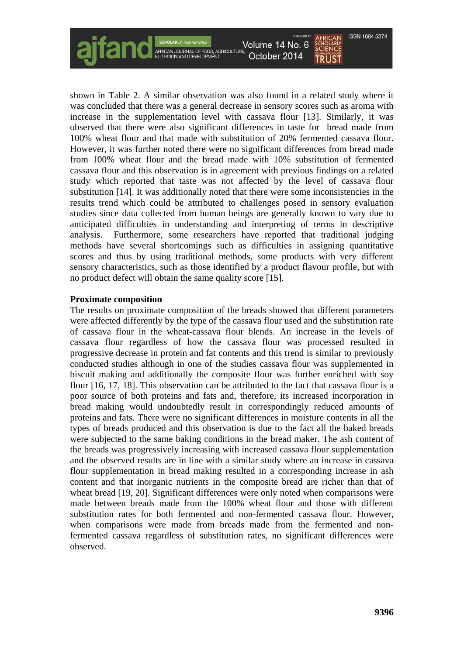Volume 14 No. 6

October 2014 **TRUST** 

**ISSN 1684 5374** 

shown in Table 2. A similar observation was also found in a related study where it was concluded that there was a general decrease in sensory scores such as aroma with increase in the supplementation level with cassava flour [13]. Similarly, it was observed that there were also significant differences in taste for bread made from 100% wheat flour and that made with substitution of 20% fermented cassava flour. However, it was further noted there were no significant differences from bread made from 100% wheat flour and the bread made with 10% substitution of fermented cassava flour and this observation is in agreement with previous findings on a related study which reported that taste was not affected by the level of cassava flour substitution [14]. It was additionally noted that there were some inconsistencies in the results trend which could be attributed to challenges posed in sensory evaluation studies since data collected from human beings are generally known to vary due to anticipated difficulties in understanding and interpreting of terms in descriptive analysis. Furthermore, some researchers have reported that traditional judging methods have several shortcomings such as difficulties in assigning quantitative scores and thus by using traditional methods, some products with very different sensory characteristics, such as those identified by a product flavour profile, but with no product defect will obtain the same quality score [15].

# **Proximate composition**

The results on proximate composition of the breads showed that different parameters were affected differently by the type of the cassava flour used and the substitution rate of cassava flour in the wheat-cassava flour blends. An increase in the levels of cassava flour regardless of how the cassava flour was processed resulted in progressive decrease in protein and fat contents and this trend is similar to previously conducted studies although in one of the studies cassava flour was supplemented in biscuit making and additionally the composite flour was further enriched with soy flour [16, 17, 18]. This observation can be attributed to the fact that cassava flour is a poor source of both proteins and fats and, therefore, its increased incorporation in bread making would undoubtedly result in correspondingly reduced amounts of proteins and fats. There were no significant differences in moisture contents in all the types of breads produced and this observation is due to the fact all the baked breads were subjected to the same baking conditions in the bread maker. The ash content of the breads was progressively increasing with increased cassava flour supplementation and the observed results are in line with a similar study where an increase in cassava flour supplementation in bread making resulted in a corresponding increase in ash content and that inorganic nutrients in the composite bread are richer than that of wheat bread [19, 20]. Significant differences were only noted when comparisons were made between breads made from the 100% wheat flour and those with different substitution rates for both fermented and non-fermented cassava flour. However, when comparisons were made from breads made from the fermented and nonfermented cassava regardless of substitution rates, no significant differences were observed.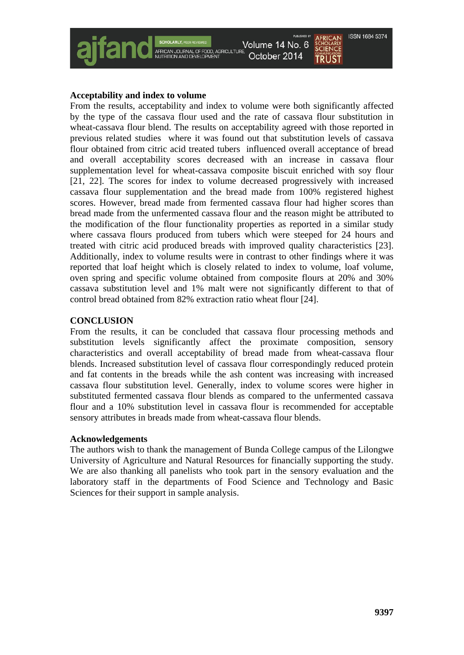

# **Acceptability and index to volume**

From the results, acceptability and index to volume were both significantly affected by the type of the cassava flour used and the rate of cassava flour substitution in wheat-cassava flour blend. The results on acceptability agreed with those reported in previous related studies where it was found out that substitution levels of cassava flour obtained from citric acid treated tubers influenced overall acceptance of bread and overall acceptability scores decreased with an increase in cassava flour supplementation level for wheat-cassava composite biscuit enriched with soy flour [21, 22]. The scores for index to volume decreased progressively with increased cassava flour supplementation and the bread made from 100% registered highest scores. However, bread made from fermented cassava flour had higher scores than bread made from the unfermented cassava flour and the reason might be attributed to the modification of the flour functionality properties as reported in a similar study where cassava flours produced from tubers which were steeped for 24 hours and treated with citric acid produced breads with improved quality characteristics [23]. Additionally, index to volume results were in contrast to other findings where it was reported that loaf height which is closely related to index to volume, loaf volume, oven spring and specific volume obtained from composite flours at 20% and 30% cassava substitution level and 1% malt were not significantly different to that of control bread obtained from 82% extraction ratio wheat flour [24].

# **CONCLUSION**

From the results, it can be concluded that cassava flour processing methods and substitution levels significantly affect the proximate composition, sensory characteristics and overall acceptability of bread made from wheat-cassava flour blends. Increased substitution level of cassava flour correspondingly reduced protein and fat contents in the breads while the ash content was increasing with increased cassava flour substitution level. Generally, index to volume scores were higher in substituted fermented cassava flour blends as compared to the unfermented cassava flour and a 10% substitution level in cassava flour is recommended for acceptable sensory attributes in breads made from wheat-cassava flour blends.

# **Acknowledgements**

The authors wish to thank the management of Bunda College campus of the Lilongwe University of Agriculture and Natural Resources for financially supporting the study. We are also thanking all panelists who took part in the sensory evaluation and the laboratory staff in the departments of Food Science and Technology and Basic Sciences for their support in sample analysis.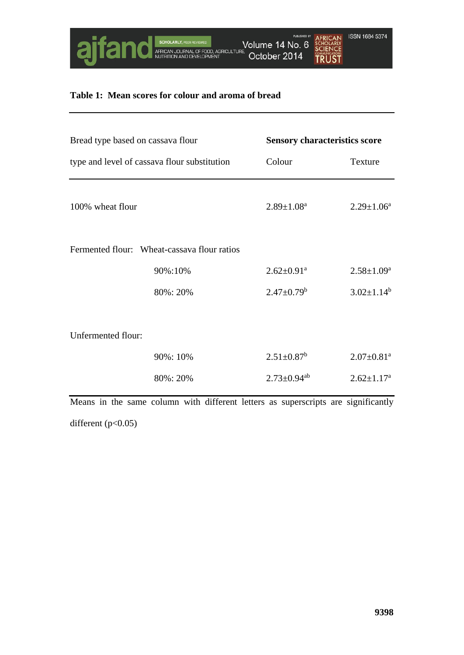

# **Table 1: Mean scores for colour and aroma of bread**

| Bread type based on cassava flour<br>type and level of cassava flour substitution |                                                                                   |                               | <b>Sensory characteristics score</b> |  |
|-----------------------------------------------------------------------------------|-----------------------------------------------------------------------------------|-------------------------------|--------------------------------------|--|
|                                                                                   |                                                                                   | Colour                        | Texture                              |  |
| 100% wheat flour                                                                  |                                                                                   | $2.89 \pm 1.08^a$             | $2.29 \pm 1.06^a$                    |  |
|                                                                                   | Fermented flour: Wheat-cassava flour ratios                                       |                               |                                      |  |
|                                                                                   | 90%:10%                                                                           | $2.62 \pm 0.91$ <sup>a</sup>  | $2.58 \pm 1.09^a$                    |  |
|                                                                                   | 80%: 20%                                                                          | $2.47 \pm 0.79^b$             | $3.02 \pm 1.14^b$                    |  |
|                                                                                   |                                                                                   |                               |                                      |  |
| Unfermented flour:                                                                |                                                                                   |                               |                                      |  |
|                                                                                   | 90%: 10%                                                                          | $2.51 \pm 0.87$ <sup>b</sup>  | $2.07 \pm 0.81$ <sup>a</sup>         |  |
|                                                                                   | 80%: 20%                                                                          | $2.73 \pm 0.94$ <sup>ab</sup> | $2.62 \pm 1.17^a$                    |  |
|                                                                                   | Means in the same column with different letters as superscripts are significantly |                               |                                      |  |

different (p<0.05)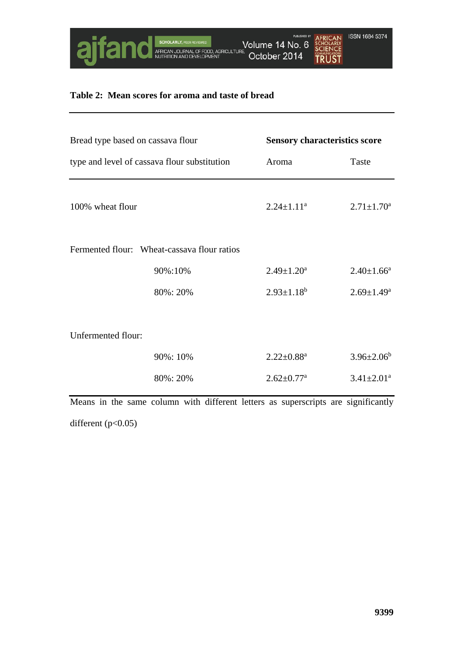

# **Table 2: Mean scores for aroma and taste of bread**

| Bread type based on cassava flour<br>type and level of cassava flour substitution |                                                                                   |                              | <b>Sensory characteristics score</b> |  |  |
|-----------------------------------------------------------------------------------|-----------------------------------------------------------------------------------|------------------------------|--------------------------------------|--|--|
|                                                                                   |                                                                                   | Aroma                        | Taste                                |  |  |
| 100% wheat flour                                                                  |                                                                                   | $2.24 \pm 1.11^a$            | $2.71 \pm 1.70^a$                    |  |  |
|                                                                                   | Fermented flour: Wheat-cassava flour ratios                                       |                              |                                      |  |  |
|                                                                                   | 90%:10%                                                                           | $2.49 \pm 1.20^a$            | $2.40 \pm 1.66^a$                    |  |  |
|                                                                                   | 80%: 20%                                                                          | $2.93 \pm 1.18^b$            | $2.69 \pm 1.49^a$                    |  |  |
| Unfermented flour:                                                                |                                                                                   |                              |                                      |  |  |
|                                                                                   | 90%: 10%                                                                          | $2.22 \pm 0.88$ <sup>a</sup> | $3.96 \pm 2.06^b$                    |  |  |
|                                                                                   | 80%: 20%                                                                          | $2.62 \pm 0.77$ <sup>a</sup> | $3.41 \pm 2.01^a$                    |  |  |
|                                                                                   | Means in the same column with different letters as superscripts are significantly |                              |                                      |  |  |

different (p<0.05)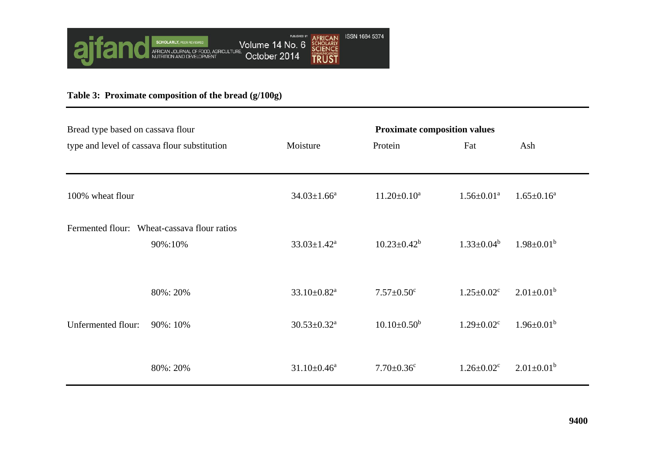

# **Table 3: Proximate composition of the bread (g/100g)**

| Bread type based on cassava flour            |                                                        | <b>Proximate composition values</b> |                              |                              |                   |
|----------------------------------------------|--------------------------------------------------------|-------------------------------------|------------------------------|------------------------------|-------------------|
| type and level of cassava flour substitution |                                                        | Moisture                            | Protein                      | Fat                          | Ash               |
|                                              |                                                        |                                     |                              |                              |                   |
| 100% wheat flour                             |                                                        | $34.03 \pm 1.66^a$                  | $11.20 \pm 0.10^a$           | $1.56 \pm 0.01$ <sup>a</sup> | $1.65 \pm 0.16^a$ |
|                                              | Fermented flour: Wheat-cassava flour ratios<br>90%:10% | $33.03 \pm 1.42^a$                  | $10.23 \pm 0.42^b$           | $1.33 \pm 0.04^b$            | $1.98 \pm 0.01^b$ |
|                                              | 80%: 20%                                               | $33.10 \pm 0.82$ <sup>a</sup>       | $7.57 \pm 0.50$ <sup>c</sup> | $1.25 \pm 0.02$ <sup>c</sup> | $2.01 \pm 0.01^b$ |
| Unfermented flour:                           | 90%: 10%                                               | $30.53 \pm 0.32$ <sup>a</sup>       | $10.10\pm0.50^b$             | $1.29 \pm 0.02$ <sup>c</sup> | $1.96 \pm 0.01^b$ |
|                                              | 80%: 20%                                               | $31.10 \pm 0.46^a$                  | $7.70 \pm 0.36$ <sup>c</sup> | $1.26 \pm 0.02$ <sup>c</sup> | $2.01 \pm 0.01^b$ |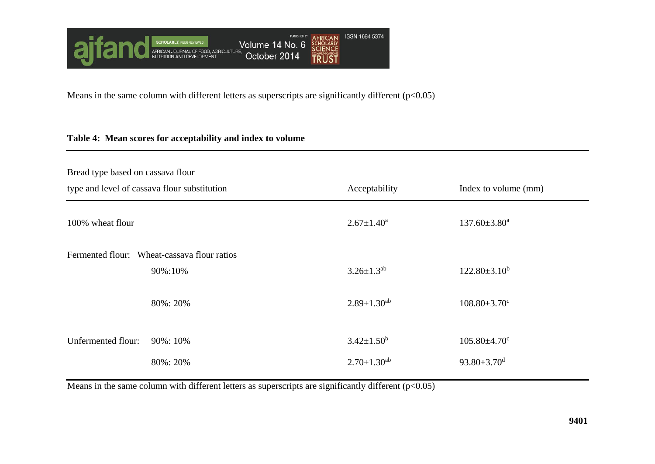

Means in the same column with different letters as superscripts are significantly different  $(p<0.05)$ 

# **Table 4: Mean scores for acceptability and index to volume**

| Bread type based on cassava flour            |                                                        |                      |                                |
|----------------------------------------------|--------------------------------------------------------|----------------------|--------------------------------|
| type and level of cassava flour substitution |                                                        | Acceptability        | Index to volume (mm)           |
| 100% wheat flour                             |                                                        | $2.67 \pm 1.40^a$    | $137.60 \pm 3.80^a$            |
|                                              | Fermented flour: Wheat-cassava flour ratios<br>90%:10% | $3.26 \pm 1.3^{ab}$  | $122.80 \pm 3.10^b$            |
|                                              | 80%: 20%                                               | $2.89 \pm 1.30^{ab}$ | $108.80 \pm 3.70$ <sup>c</sup> |
| Unfermented flour:                           | 90%: 10%                                               | $3.42 \pm 1.50^b$    | $105.80 \pm 4.70$ c            |
|                                              | 80%: 20%                                               | $2.70 \pm 1.30^{ab}$ | $93.80 \pm 3.70$ <sup>d</sup>  |

Means in the same column with different letters as superscripts are significantly different (p<0.05)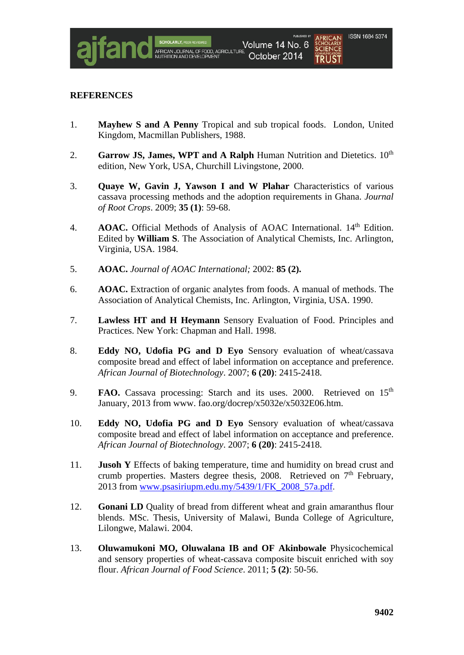# **REFERENCES**

- 1. **Mayhew S and A Penny** Tropical and sub tropical foods. London, United Kingdom, Macmillan Publishers, 1988.
- 2. **Garrow JS, James, WPT and A Ralph** Human Nutrition and Dietetics.  $10^{th}$ edition, New York, USA, Churchill Livingstone, 2000.
- 3. **Quaye W, Gavin J, Yawson I and W Plahar** Characteristics of various cassava processing methods and the adoption requirements in Ghana. *Journal of Root Crops*. 2009; **35 (1)**: 59-68.
- 4. **AOAC.** Official Methods of Analysis of AOAC International. 14<sup>th</sup> Edition. Edited by **William S**. The Association of Analytical Chemists, Inc. Arlington, Virginia, USA. 1984.
- 5. **AOAC.** *Journal of AOAC International;* 2002: **85 (2).**
- 6. **AOAC.** Extraction of organic analytes from foods. A manual of methods. The Association of Analytical Chemists, Inc. Arlington, Virginia, USA. 1990.
- 7. **Lawless HT and H Heymann** Sensory Evaluation of Food. Principles and Practices. New York: Chapman and Hall. 1998.
- 8. **Eddy NO, Udofia PG and D Eyo** Sensory evaluation of wheat/cassava composite bread and effect of label information on acceptance and preference. *African Journal of Biotechnology*. 2007; **6 (20)**: 2415-2418.
- 9. **FAO.** Cassava processing: Starch and its uses. 2000. Retrieved on 15<sup>th</sup> January, 2013 from www. fao.org/docrep/x5032e/x5032E06.htm.
- 10. **Eddy NO, Udofia PG and D Eyo** Sensory evaluation of wheat/cassava composite bread and effect of label information on acceptance and preference. *African Journal of Biotechnology*. 2007; **6 (20)**: 2415-2418.
- 11. **Jusoh Y** Effects of baking temperature, time and humidity on bread crust and crumb properties. Masters degree thesis, 2008. Retrieved on  $7<sup>th</sup>$  February, 2013 from [www.psasiriupm.edu.my/5439/1/FK\\_2008\\_57a.pdf](http://www.psasiriupm.edu.my/5439/1/FK_2008_57a.pdf).
- 12. **Gonani LD** Quality of bread from different wheat and grain amaranthus flour blends. MSc. Thesis, University of Malawi, Bunda College of Agriculture, Lilongwe, Malawi. 2004.
- 13. **Oluwamukoni MO, Oluwalana IB and OF Akinbowale** Physicochemical and sensory properties of wheat-cassava composite biscuit enriched with soy flour. *African Journal of Food Science*. 2011; **5 (2)**: 50-56.